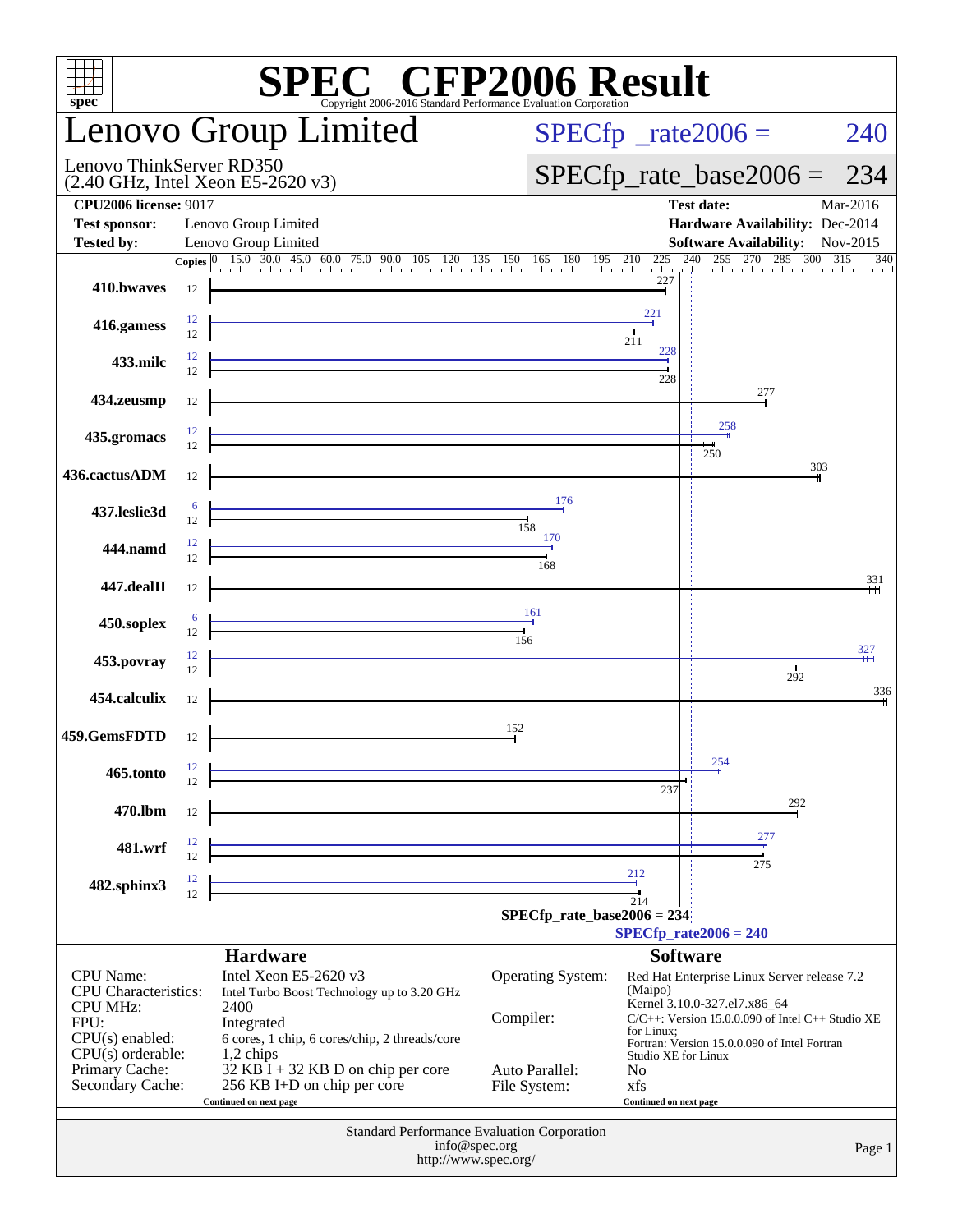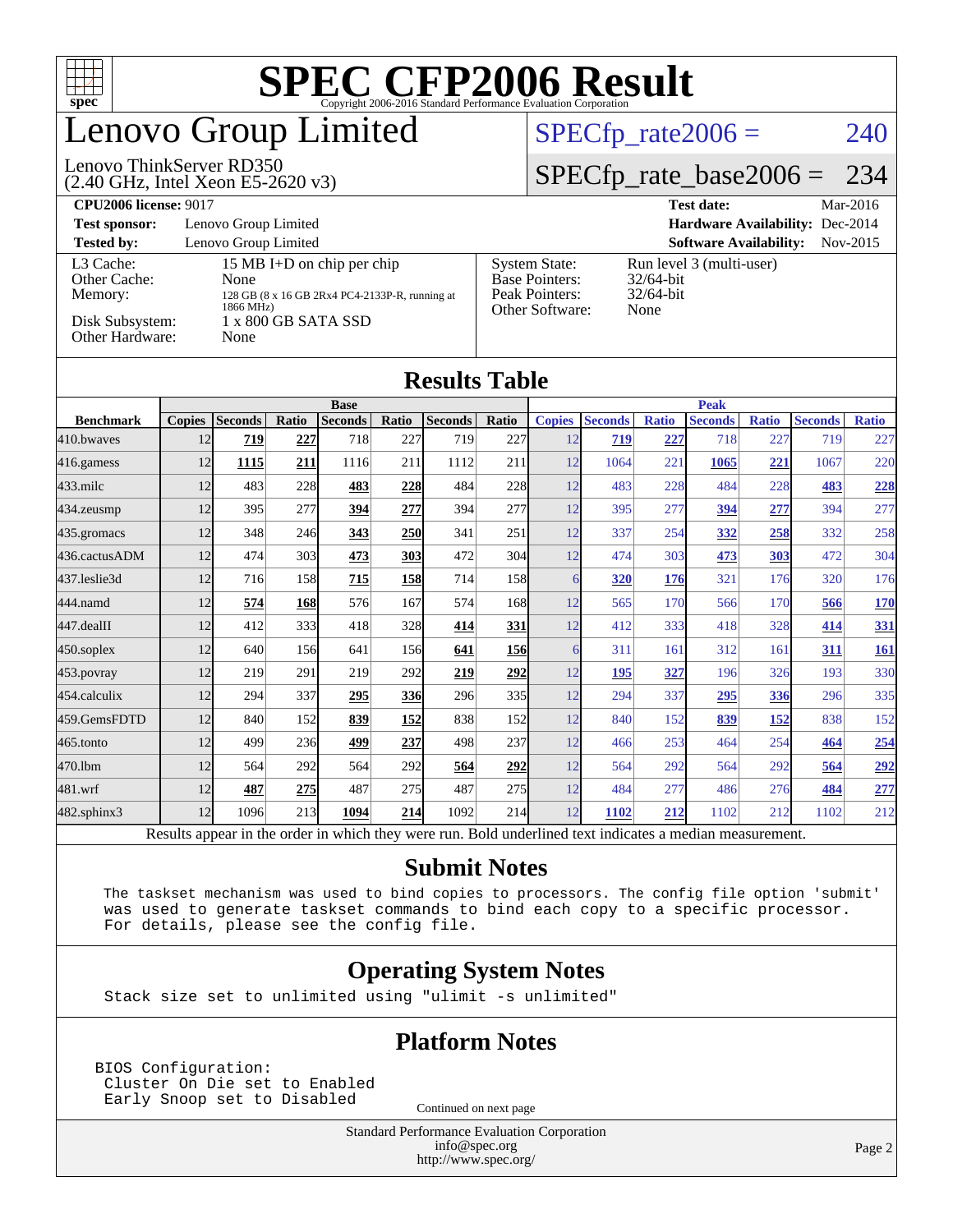

## Lenovo Group Limited

#### (2.40 GHz, Intel Xeon E5-2620 v3) Lenovo ThinkServer RD350

 $SPECTp_rate2006 = 240$ 

#### [SPECfp\\_rate\\_base2006 =](http://www.spec.org/auto/cpu2006/Docs/result-fields.html#SPECfpratebase2006) 234

| <b>CPU2006 license: 9017</b>                                               |                                                                                                                                         | Mar-2016<br><b>Test date:</b>                                                      |                                                                  |
|----------------------------------------------------------------------------|-----------------------------------------------------------------------------------------------------------------------------------------|------------------------------------------------------------------------------------|------------------------------------------------------------------|
| <b>Test sponsor:</b>                                                       | Lenovo Group Limited                                                                                                                    |                                                                                    | <b>Hardware Availability: Dec-2014</b>                           |
| <b>Tested by:</b>                                                          | Lenovo Group Limited                                                                                                                    |                                                                                    | <b>Software Availability:</b><br>Nov-2015                        |
| L3 Cache:<br>Other Cache:<br>Memory:<br>Disk Subsystem:<br>Other Hardware: | 15 MB I+D on chip per chip<br><b>None</b><br>128 GB (8 x 16 GB 2Rx4 PC4-2133P-R, running at<br>1866 MHz)<br>1 x 800 GB SATA SSD<br>None | <b>System State:</b><br><b>Base Pointers:</b><br>Peak Pointers:<br>Other Software: | Run level 3 (multi-user)<br>$32/64$ -bit<br>$32/64$ -bit<br>None |

#### **[Results Table](http://www.spec.org/auto/cpu2006/Docs/result-fields.html#ResultsTable) [Benchmark](http://www.spec.org/auto/cpu2006/Docs/result-fields.html#Benchmark) [Copies](http://www.spec.org/auto/cpu2006/Docs/result-fields.html#Copies) [Seconds](http://www.spec.org/auto/cpu2006/Docs/result-fields.html#Seconds) [Ratio](http://www.spec.org/auto/cpu2006/Docs/result-fields.html#Ratio) [Seconds](http://www.spec.org/auto/cpu2006/Docs/result-fields.html#Seconds) [Ratio](http://www.spec.org/auto/cpu2006/Docs/result-fields.html#Ratio) [Seconds](http://www.spec.org/auto/cpu2006/Docs/result-fields.html#Seconds) [Ratio](http://www.spec.org/auto/cpu2006/Docs/result-fields.html#Ratio) Base [Copies](http://www.spec.org/auto/cpu2006/Docs/result-fields.html#Copies) [Seconds](http://www.spec.org/auto/cpu2006/Docs/result-fields.html#Seconds) [Ratio](http://www.spec.org/auto/cpu2006/Docs/result-fields.html#Ratio) [Seconds](http://www.spec.org/auto/cpu2006/Docs/result-fields.html#Seconds) [Ratio](http://www.spec.org/auto/cpu2006/Docs/result-fields.html#Ratio) [Seconds](http://www.spec.org/auto/cpu2006/Docs/result-fields.html#Seconds) [Ratio](http://www.spec.org/auto/cpu2006/Docs/result-fields.html#Ratio) Peak** [410.bwaves](http://www.spec.org/auto/cpu2006/Docs/410.bwaves.html) 12 **[719](http://www.spec.org/auto/cpu2006/Docs/result-fields.html#Median) [227](http://www.spec.org/auto/cpu2006/Docs/result-fields.html#Median)** 718 227 719 227 12 **[719](http://www.spec.org/auto/cpu2006/Docs/result-fields.html#Median) [227](http://www.spec.org/auto/cpu2006/Docs/result-fields.html#Median)** 718 227 719 227 [416.gamess](http://www.spec.org/auto/cpu2006/Docs/416.gamess.html) 12 **[1115](http://www.spec.org/auto/cpu2006/Docs/result-fields.html#Median) [211](http://www.spec.org/auto/cpu2006/Docs/result-fields.html#Median)** 1116 211 1112 211 12 1064 221 **[1065](http://www.spec.org/auto/cpu2006/Docs/result-fields.html#Median) [221](http://www.spec.org/auto/cpu2006/Docs/result-fields.html#Median)** 1067 220 [433.milc](http://www.spec.org/auto/cpu2006/Docs/433.milc.html) 12 483 228 **[483](http://www.spec.org/auto/cpu2006/Docs/result-fields.html#Median) [228](http://www.spec.org/auto/cpu2006/Docs/result-fields.html#Median)** 484 228 12 483 228 484 228 **[483](http://www.spec.org/auto/cpu2006/Docs/result-fields.html#Median) [228](http://www.spec.org/auto/cpu2006/Docs/result-fields.html#Median)** [434.zeusmp](http://www.spec.org/auto/cpu2006/Docs/434.zeusmp.html) 12 395 277 **[394](http://www.spec.org/auto/cpu2006/Docs/result-fields.html#Median) [277](http://www.spec.org/auto/cpu2006/Docs/result-fields.html#Median)** 394 277 12 395 277 **[394](http://www.spec.org/auto/cpu2006/Docs/result-fields.html#Median) [277](http://www.spec.org/auto/cpu2006/Docs/result-fields.html#Median)** 394 277 [435.gromacs](http://www.spec.org/auto/cpu2006/Docs/435.gromacs.html) 12 348 246 **[343](http://www.spec.org/auto/cpu2006/Docs/result-fields.html#Median) [250](http://www.spec.org/auto/cpu2006/Docs/result-fields.html#Median)** 341 251 12 337 254 **[332](http://www.spec.org/auto/cpu2006/Docs/result-fields.html#Median) [258](http://www.spec.org/auto/cpu2006/Docs/result-fields.html#Median)** 332 258 [436.cactusADM](http://www.spec.org/auto/cpu2006/Docs/436.cactusADM.html) 12 474 303 **[473](http://www.spec.org/auto/cpu2006/Docs/result-fields.html#Median) [303](http://www.spec.org/auto/cpu2006/Docs/result-fields.html#Median)** 472 304 12 474 303 **[473](http://www.spec.org/auto/cpu2006/Docs/result-fields.html#Median) [303](http://www.spec.org/auto/cpu2006/Docs/result-fields.html#Median)** 472 304 [437.leslie3d](http://www.spec.org/auto/cpu2006/Docs/437.leslie3d.html) 12 716 158 **[715](http://www.spec.org/auto/cpu2006/Docs/result-fields.html#Median) [158](http://www.spec.org/auto/cpu2006/Docs/result-fields.html#Median)** 714 158 6 **[320](http://www.spec.org/auto/cpu2006/Docs/result-fields.html#Median) [176](http://www.spec.org/auto/cpu2006/Docs/result-fields.html#Median)** 321 176 320 176 [444.namd](http://www.spec.org/auto/cpu2006/Docs/444.namd.html) 12 **[574](http://www.spec.org/auto/cpu2006/Docs/result-fields.html#Median) [168](http://www.spec.org/auto/cpu2006/Docs/result-fields.html#Median)** 576 167 574 168 12 565 170 566 170 **[566](http://www.spec.org/auto/cpu2006/Docs/result-fields.html#Median) [170](http://www.spec.org/auto/cpu2006/Docs/result-fields.html#Median)** [447.dealII](http://www.spec.org/auto/cpu2006/Docs/447.dealII.html) 12 412 333 418 328 **[414](http://www.spec.org/auto/cpu2006/Docs/result-fields.html#Median) [331](http://www.spec.org/auto/cpu2006/Docs/result-fields.html#Median)** 12 412 333 418 328 **[414](http://www.spec.org/auto/cpu2006/Docs/result-fields.html#Median) [331](http://www.spec.org/auto/cpu2006/Docs/result-fields.html#Median)** [450.soplex](http://www.spec.org/auto/cpu2006/Docs/450.soplex.html) 12 640 156 641 156 **[641](http://www.spec.org/auto/cpu2006/Docs/result-fields.html#Median) [156](http://www.spec.org/auto/cpu2006/Docs/result-fields.html#Median)** 6 311 161 312 161 **[311](http://www.spec.org/auto/cpu2006/Docs/result-fields.html#Median) [161](http://www.spec.org/auto/cpu2006/Docs/result-fields.html#Median)** [453.povray](http://www.spec.org/auto/cpu2006/Docs/453.povray.html) 12 219 291 219 292 **[219](http://www.spec.org/auto/cpu2006/Docs/result-fields.html#Median) [292](http://www.spec.org/auto/cpu2006/Docs/result-fields.html#Median)** 12 **[195](http://www.spec.org/auto/cpu2006/Docs/result-fields.html#Median) [327](http://www.spec.org/auto/cpu2006/Docs/result-fields.html#Median)** 196 326 193 330 [454.calculix](http://www.spec.org/auto/cpu2006/Docs/454.calculix.html) 12 294 337 **[295](http://www.spec.org/auto/cpu2006/Docs/result-fields.html#Median) [336](http://www.spec.org/auto/cpu2006/Docs/result-fields.html#Median)** 296 335 12 294 337 **[295](http://www.spec.org/auto/cpu2006/Docs/result-fields.html#Median) [336](http://www.spec.org/auto/cpu2006/Docs/result-fields.html#Median)** 296 335 [459.GemsFDTD](http://www.spec.org/auto/cpu2006/Docs/459.GemsFDTD.html) 12 840 152 **[839](http://www.spec.org/auto/cpu2006/Docs/result-fields.html#Median) [152](http://www.spec.org/auto/cpu2006/Docs/result-fields.html#Median)** 838 152 12 840 152 **[839](http://www.spec.org/auto/cpu2006/Docs/result-fields.html#Median) [152](http://www.spec.org/auto/cpu2006/Docs/result-fields.html#Median)** 838 152 [465.tonto](http://www.spec.org/auto/cpu2006/Docs/465.tonto.html) 12 499 236 **[499](http://www.spec.org/auto/cpu2006/Docs/result-fields.html#Median) [237](http://www.spec.org/auto/cpu2006/Docs/result-fields.html#Median)** 498 237 12 466 253 464 254 **[464](http://www.spec.org/auto/cpu2006/Docs/result-fields.html#Median) [254](http://www.spec.org/auto/cpu2006/Docs/result-fields.html#Median)** [470.lbm](http://www.spec.org/auto/cpu2006/Docs/470.lbm.html) 12 564 292 564 292 **[564](http://www.spec.org/auto/cpu2006/Docs/result-fields.html#Median) [292](http://www.spec.org/auto/cpu2006/Docs/result-fields.html#Median)** 12 564 292 564 292 **[564](http://www.spec.org/auto/cpu2006/Docs/result-fields.html#Median) [292](http://www.spec.org/auto/cpu2006/Docs/result-fields.html#Median)** [481.wrf](http://www.spec.org/auto/cpu2006/Docs/481.wrf.html) 12 **[487](http://www.spec.org/auto/cpu2006/Docs/result-fields.html#Median) [275](http://www.spec.org/auto/cpu2006/Docs/result-fields.html#Median)** 487 275 487 275 12 484 277 486 276 **[484](http://www.spec.org/auto/cpu2006/Docs/result-fields.html#Median) [277](http://www.spec.org/auto/cpu2006/Docs/result-fields.html#Median)** [482.sphinx3](http://www.spec.org/auto/cpu2006/Docs/482.sphinx3.html) 12 1096 213 **[1094](http://www.spec.org/auto/cpu2006/Docs/result-fields.html#Median) [214](http://www.spec.org/auto/cpu2006/Docs/result-fields.html#Median)** 1092 214 12 **[1102](http://www.spec.org/auto/cpu2006/Docs/result-fields.html#Median) [212](http://www.spec.org/auto/cpu2006/Docs/result-fields.html#Median)** 1102 212 1102 212

Results appear in the [order in which they were run.](http://www.spec.org/auto/cpu2006/Docs/result-fields.html#RunOrder) Bold underlined text [indicates a median measurement.](http://www.spec.org/auto/cpu2006/Docs/result-fields.html#Median)

#### **[Submit Notes](http://www.spec.org/auto/cpu2006/Docs/result-fields.html#SubmitNotes)**

 The taskset mechanism was used to bind copies to processors. The config file option 'submit' was used to generate taskset commands to bind each copy to a specific processor. For details, please see the config file.

#### **[Operating System Notes](http://www.spec.org/auto/cpu2006/Docs/result-fields.html#OperatingSystemNotes)**

Stack size set to unlimited using "ulimit -s unlimited"

#### **[Platform Notes](http://www.spec.org/auto/cpu2006/Docs/result-fields.html#PlatformNotes)**

BIOS Configuration: Cluster On Die set to Enabled Early Snoop set to Disabled Continued on next page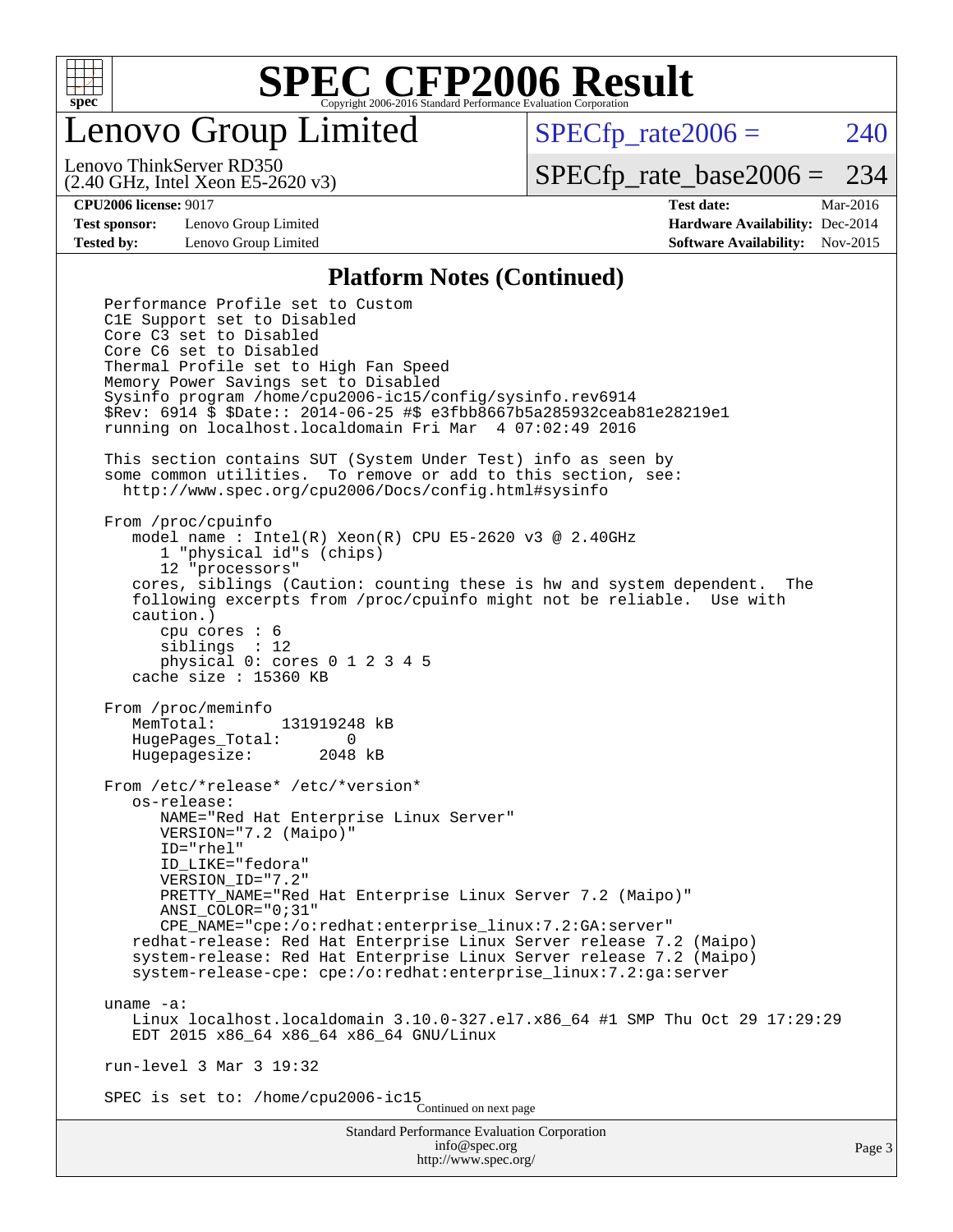

Lenovo Group Limited

 $SPECfp_rate2006 = 240$  $SPECfp_rate2006 = 240$ 

(2.40 GHz, Intel Xeon E5-2620 v3) Lenovo ThinkServer RD350

[SPECfp\\_rate\\_base2006 =](http://www.spec.org/auto/cpu2006/Docs/result-fields.html#SPECfpratebase2006) 234

**[Test sponsor:](http://www.spec.org/auto/cpu2006/Docs/result-fields.html#Testsponsor)** Lenovo Group Limited **[Hardware Availability:](http://www.spec.org/auto/cpu2006/Docs/result-fields.html#HardwareAvailability)** Dec-2014

**[CPU2006 license:](http://www.spec.org/auto/cpu2006/Docs/result-fields.html#CPU2006license)** 9017 **[Test date:](http://www.spec.org/auto/cpu2006/Docs/result-fields.html#Testdate)** Mar-2016 **[Tested by:](http://www.spec.org/auto/cpu2006/Docs/result-fields.html#Testedby)** Lenovo Group Limited **[Software Availability:](http://www.spec.org/auto/cpu2006/Docs/result-fields.html#SoftwareAvailability)** Nov-2015

#### **[Platform Notes \(Continued\)](http://www.spec.org/auto/cpu2006/Docs/result-fields.html#PlatformNotes)**

Standard Performance Evaluation Corporation [info@spec.org](mailto:info@spec.org) <http://www.spec.org/> Performance Profile set to Custom C1E Support set to Disabled Core C3 set to Disabled Core C6 set to Disabled Thermal Profile set to High Fan Speed Memory Power Savings set to Disabled Sysinfo program /home/cpu2006-ic15/config/sysinfo.rev6914 \$Rev: 6914 \$ \$Date:: 2014-06-25 #\$ e3fbb8667b5a285932ceab81e28219e1 running on localhost.localdomain Fri Mar 4 07:02:49 2016 This section contains SUT (System Under Test) info as seen by some common utilities. To remove or add to this section, see: <http://www.spec.org/cpu2006/Docs/config.html#sysinfo> From /proc/cpuinfo model name : Intel(R) Xeon(R) CPU E5-2620 v3 @ 2.40GHz 1 "physical id"s (chips) 12 "processors" cores, siblings (Caution: counting these is hw and system dependent. The following excerpts from /proc/cpuinfo might not be reliable. Use with caution.) cpu cores : 6 siblings : 12 physical 0: cores 0 1 2 3 4 5 cache size : 15360 KB From /proc/meminfo MemTotal: 131919248 kB HugePages\_Total: 0 Hugepagesize: 2048 kB From /etc/\*release\* /etc/\*version\* os-release: NAME="Red Hat Enterprise Linux Server" VERSION="7.2 (Maipo)" ID="rhel" ID\_LIKE="fedora" VERSION\_ID="7.2" PRETTY\_NAME="Red Hat Enterprise Linux Server 7.2 (Maipo)" ANSI\_COLOR="0;31" CPE\_NAME="cpe:/o:redhat:enterprise\_linux:7.2:GA:server" redhat-release: Red Hat Enterprise Linux Server release 7.2 (Maipo) system-release: Red Hat Enterprise Linux Server release 7.2 (Maipo) system-release-cpe: cpe:/o:redhat:enterprise\_linux:7.2:ga:server uname -a: Linux localhost.localdomain 3.10.0-327.el7.x86\_64 #1 SMP Thu Oct 29 17:29:29 EDT 2015 x86\_64 x86\_64 x86\_64 GNU/Linux run-level 3 Mar 3 19:32 SPEC is set to: /home/cpu2006-ic15 Continued on next page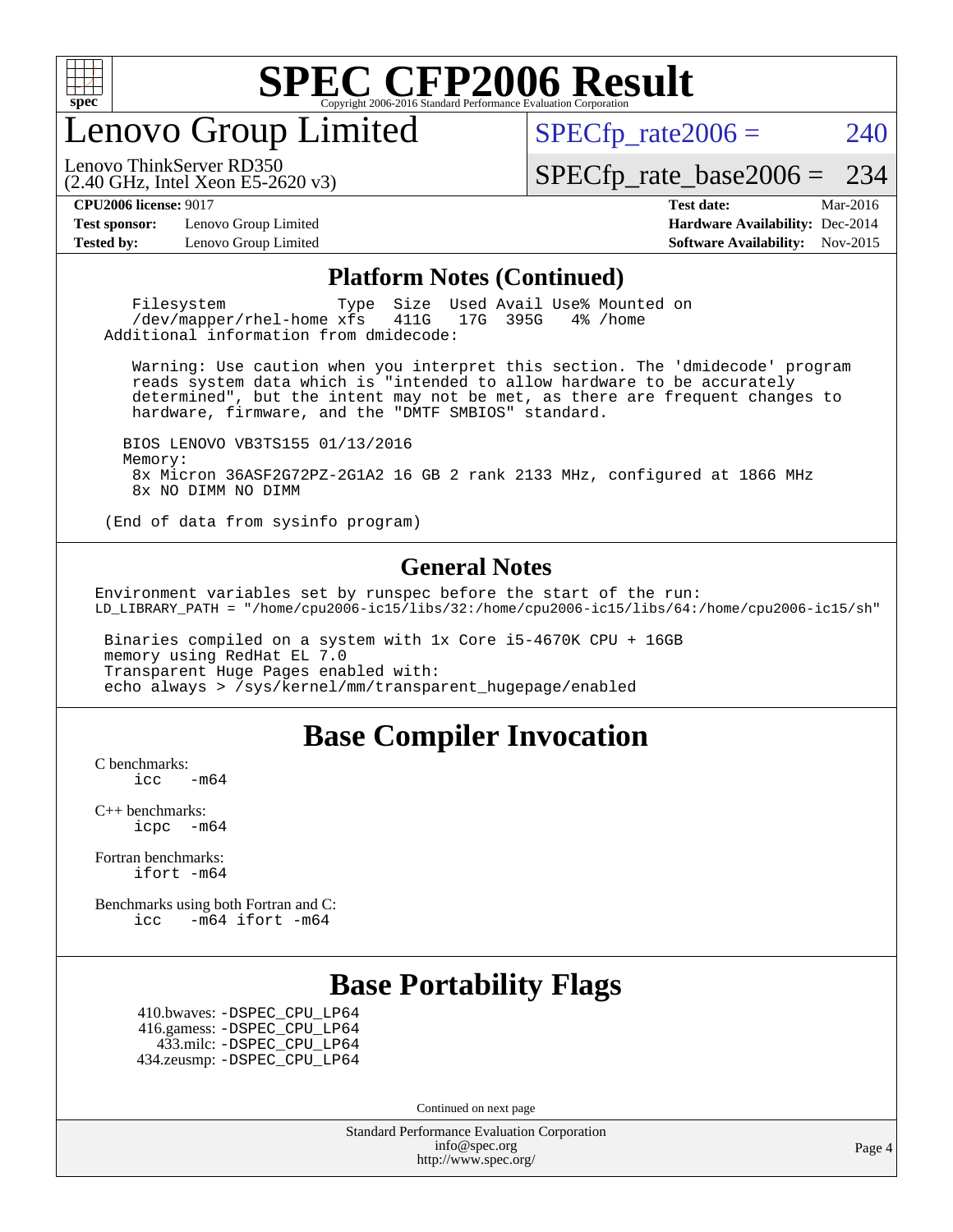

enovo Group Limited

 $SPECTp_rate2006 = 240$ 

(2.40 GHz, Intel Xeon E5-2620 v3) Lenovo ThinkServer RD350

[SPECfp\\_rate\\_base2006 =](http://www.spec.org/auto/cpu2006/Docs/result-fields.html#SPECfpratebase2006) 234

**[Test sponsor:](http://www.spec.org/auto/cpu2006/Docs/result-fields.html#Testsponsor)** Lenovo Group Limited **[Hardware Availability:](http://www.spec.org/auto/cpu2006/Docs/result-fields.html#HardwareAvailability)** Dec-2014

**[CPU2006 license:](http://www.spec.org/auto/cpu2006/Docs/result-fields.html#CPU2006license)** 9017 **[Test date:](http://www.spec.org/auto/cpu2006/Docs/result-fields.html#Testdate)** Mar-2016 **[Tested by:](http://www.spec.org/auto/cpu2006/Docs/result-fields.html#Testedby)** Lenovo Group Limited **[Software Availability:](http://www.spec.org/auto/cpu2006/Docs/result-fields.html#SoftwareAvailability)** Nov-2015

#### **[Platform Notes \(Continued\)](http://www.spec.org/auto/cpu2006/Docs/result-fields.html#PlatformNotes)**

Filesystem Type Size Used Avail Use% Mounted on<br>
/dev/mapper/rhel-home xfs 411G 17G 395G 4% /home  $/$ dev/mapper/rhel-home  $xf s$ Additional information from dmidecode:

 Warning: Use caution when you interpret this section. The 'dmidecode' program reads system data which is "intended to allow hardware to be accurately determined", but the intent may not be met, as there are frequent changes to hardware, firmware, and the "DMTF SMBIOS" standard.

 BIOS LENOVO VB3TS155 01/13/2016 Memory: 8x Micron 36ASF2G72PZ-2G1A2 16 GB 2 rank 2133 MHz, configured at 1866 MHz 8x NO DIMM NO DIMM

(End of data from sysinfo program)

#### **[General Notes](http://www.spec.org/auto/cpu2006/Docs/result-fields.html#GeneralNotes)**

Environment variables set by runspec before the start of the run: LD\_LIBRARY\_PATH = "/home/cpu2006-ic15/libs/32:/home/cpu2006-ic15/libs/64:/home/cpu2006-ic15/sh"

 Binaries compiled on a system with 1x Core i5-4670K CPU + 16GB memory using RedHat EL 7.0 Transparent Huge Pages enabled with: echo always > /sys/kernel/mm/transparent\_hugepage/enabled

#### **[Base Compiler Invocation](http://www.spec.org/auto/cpu2006/Docs/result-fields.html#BaseCompilerInvocation)**

[C benchmarks](http://www.spec.org/auto/cpu2006/Docs/result-fields.html#Cbenchmarks):  $\text{icc}$   $-\text{m64}$ 

[C++ benchmarks:](http://www.spec.org/auto/cpu2006/Docs/result-fields.html#CXXbenchmarks) [icpc -m64](http://www.spec.org/cpu2006/results/res2016q1/cpu2006-20160307-39065.flags.html#user_CXXbase_intel_icpc_64bit_bedb90c1146cab66620883ef4f41a67e)

[Fortran benchmarks](http://www.spec.org/auto/cpu2006/Docs/result-fields.html#Fortranbenchmarks): [ifort -m64](http://www.spec.org/cpu2006/results/res2016q1/cpu2006-20160307-39065.flags.html#user_FCbase_intel_ifort_64bit_ee9d0fb25645d0210d97eb0527dcc06e)

[Benchmarks using both Fortran and C](http://www.spec.org/auto/cpu2006/Docs/result-fields.html#BenchmarksusingbothFortranandC): [icc -m64](http://www.spec.org/cpu2006/results/res2016q1/cpu2006-20160307-39065.flags.html#user_CC_FCbase_intel_icc_64bit_0b7121f5ab7cfabee23d88897260401c) [ifort -m64](http://www.spec.org/cpu2006/results/res2016q1/cpu2006-20160307-39065.flags.html#user_CC_FCbase_intel_ifort_64bit_ee9d0fb25645d0210d97eb0527dcc06e)

### **[Base Portability Flags](http://www.spec.org/auto/cpu2006/Docs/result-fields.html#BasePortabilityFlags)**

 410.bwaves: [-DSPEC\\_CPU\\_LP64](http://www.spec.org/cpu2006/results/res2016q1/cpu2006-20160307-39065.flags.html#suite_basePORTABILITY410_bwaves_DSPEC_CPU_LP64) 416.gamess: [-DSPEC\\_CPU\\_LP64](http://www.spec.org/cpu2006/results/res2016q1/cpu2006-20160307-39065.flags.html#suite_basePORTABILITY416_gamess_DSPEC_CPU_LP64) 433.milc: [-DSPEC\\_CPU\\_LP64](http://www.spec.org/cpu2006/results/res2016q1/cpu2006-20160307-39065.flags.html#suite_basePORTABILITY433_milc_DSPEC_CPU_LP64) 434.zeusmp: [-DSPEC\\_CPU\\_LP64](http://www.spec.org/cpu2006/results/res2016q1/cpu2006-20160307-39065.flags.html#suite_basePORTABILITY434_zeusmp_DSPEC_CPU_LP64)

Continued on next page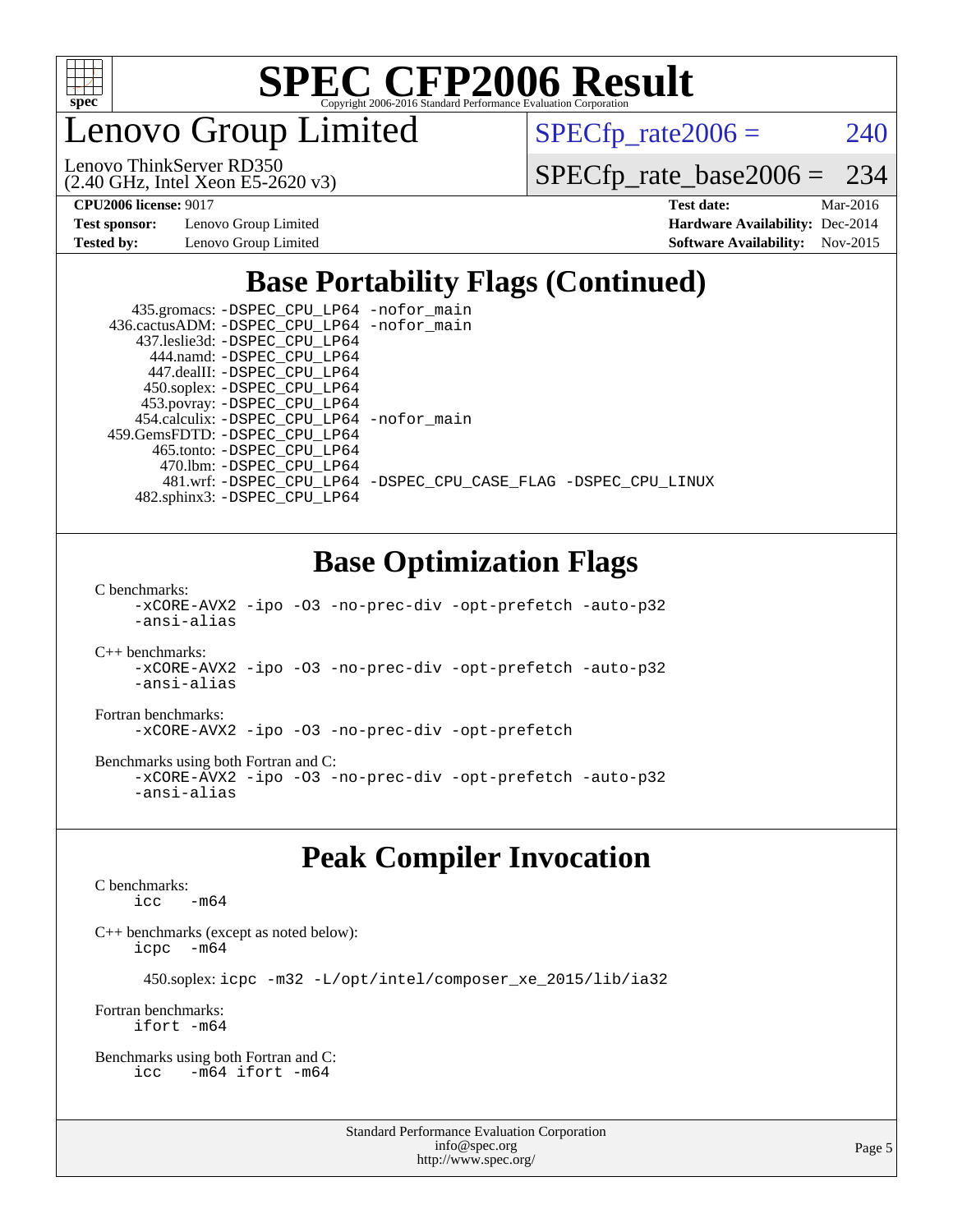

Lenovo Group Limited

 $SPECTp_rate2006 = 240$ 

(2.40 GHz, Intel Xeon E5-2620 v3) Lenovo ThinkServer RD350

[SPECfp\\_rate\\_base2006 =](http://www.spec.org/auto/cpu2006/Docs/result-fields.html#SPECfpratebase2006) 234

**[Test sponsor:](http://www.spec.org/auto/cpu2006/Docs/result-fields.html#Testsponsor)** Lenovo Group Limited **[Hardware Availability:](http://www.spec.org/auto/cpu2006/Docs/result-fields.html#HardwareAvailability)** Dec-2014

**[CPU2006 license:](http://www.spec.org/auto/cpu2006/Docs/result-fields.html#CPU2006license)** 9017 **[Test date:](http://www.spec.org/auto/cpu2006/Docs/result-fields.html#Testdate)** Mar-2016 **[Tested by:](http://www.spec.org/auto/cpu2006/Docs/result-fields.html#Testedby)** Lenovo Group Limited **[Software Availability:](http://www.spec.org/auto/cpu2006/Docs/result-fields.html#SoftwareAvailability)** Nov-2015

## **[Base Portability Flags \(Continued\)](http://www.spec.org/auto/cpu2006/Docs/result-fields.html#BasePortabilityFlags)**

 435.gromacs: [-DSPEC\\_CPU\\_LP64](http://www.spec.org/cpu2006/results/res2016q1/cpu2006-20160307-39065.flags.html#suite_basePORTABILITY435_gromacs_DSPEC_CPU_LP64) [-nofor\\_main](http://www.spec.org/cpu2006/results/res2016q1/cpu2006-20160307-39065.flags.html#user_baseLDPORTABILITY435_gromacs_f-nofor_main) 436.cactusADM: [-DSPEC\\_CPU\\_LP64](http://www.spec.org/cpu2006/results/res2016q1/cpu2006-20160307-39065.flags.html#suite_basePORTABILITY436_cactusADM_DSPEC_CPU_LP64) [-nofor\\_main](http://www.spec.org/cpu2006/results/res2016q1/cpu2006-20160307-39065.flags.html#user_baseLDPORTABILITY436_cactusADM_f-nofor_main) 437.leslie3d: [-DSPEC\\_CPU\\_LP64](http://www.spec.org/cpu2006/results/res2016q1/cpu2006-20160307-39065.flags.html#suite_basePORTABILITY437_leslie3d_DSPEC_CPU_LP64) 444.namd: [-DSPEC\\_CPU\\_LP64](http://www.spec.org/cpu2006/results/res2016q1/cpu2006-20160307-39065.flags.html#suite_basePORTABILITY444_namd_DSPEC_CPU_LP64) 447.dealII: [-DSPEC\\_CPU\\_LP64](http://www.spec.org/cpu2006/results/res2016q1/cpu2006-20160307-39065.flags.html#suite_basePORTABILITY447_dealII_DSPEC_CPU_LP64) 450.soplex: [-DSPEC\\_CPU\\_LP64](http://www.spec.org/cpu2006/results/res2016q1/cpu2006-20160307-39065.flags.html#suite_basePORTABILITY450_soplex_DSPEC_CPU_LP64) 453.povray: [-DSPEC\\_CPU\\_LP64](http://www.spec.org/cpu2006/results/res2016q1/cpu2006-20160307-39065.flags.html#suite_basePORTABILITY453_povray_DSPEC_CPU_LP64) 454.calculix: [-DSPEC\\_CPU\\_LP64](http://www.spec.org/cpu2006/results/res2016q1/cpu2006-20160307-39065.flags.html#suite_basePORTABILITY454_calculix_DSPEC_CPU_LP64) [-nofor\\_main](http://www.spec.org/cpu2006/results/res2016q1/cpu2006-20160307-39065.flags.html#user_baseLDPORTABILITY454_calculix_f-nofor_main) 459.GemsFDTD: [-DSPEC\\_CPU\\_LP64](http://www.spec.org/cpu2006/results/res2016q1/cpu2006-20160307-39065.flags.html#suite_basePORTABILITY459_GemsFDTD_DSPEC_CPU_LP64) 465.tonto: [-DSPEC\\_CPU\\_LP64](http://www.spec.org/cpu2006/results/res2016q1/cpu2006-20160307-39065.flags.html#suite_basePORTABILITY465_tonto_DSPEC_CPU_LP64) 470.lbm: [-DSPEC\\_CPU\\_LP64](http://www.spec.org/cpu2006/results/res2016q1/cpu2006-20160307-39065.flags.html#suite_basePORTABILITY470_lbm_DSPEC_CPU_LP64) 481.wrf: [-DSPEC\\_CPU\\_LP64](http://www.spec.org/cpu2006/results/res2016q1/cpu2006-20160307-39065.flags.html#suite_basePORTABILITY481_wrf_DSPEC_CPU_LP64) [-DSPEC\\_CPU\\_CASE\\_FLAG](http://www.spec.org/cpu2006/results/res2016q1/cpu2006-20160307-39065.flags.html#b481.wrf_baseCPORTABILITY_DSPEC_CPU_CASE_FLAG) [-DSPEC\\_CPU\\_LINUX](http://www.spec.org/cpu2006/results/res2016q1/cpu2006-20160307-39065.flags.html#b481.wrf_baseCPORTABILITY_DSPEC_CPU_LINUX) 482.sphinx3: [-DSPEC\\_CPU\\_LP64](http://www.spec.org/cpu2006/results/res2016q1/cpu2006-20160307-39065.flags.html#suite_basePORTABILITY482_sphinx3_DSPEC_CPU_LP64)

### **[Base Optimization Flags](http://www.spec.org/auto/cpu2006/Docs/result-fields.html#BaseOptimizationFlags)**

[C benchmarks](http://www.spec.org/auto/cpu2006/Docs/result-fields.html#Cbenchmarks):

[-xCORE-AVX2](http://www.spec.org/cpu2006/results/res2016q1/cpu2006-20160307-39065.flags.html#user_CCbase_f-xAVX2_5f5fc0cbe2c9f62c816d3e45806c70d7) [-ipo](http://www.spec.org/cpu2006/results/res2016q1/cpu2006-20160307-39065.flags.html#user_CCbase_f-ipo) [-O3](http://www.spec.org/cpu2006/results/res2016q1/cpu2006-20160307-39065.flags.html#user_CCbase_f-O3) [-no-prec-div](http://www.spec.org/cpu2006/results/res2016q1/cpu2006-20160307-39065.flags.html#user_CCbase_f-no-prec-div) [-opt-prefetch](http://www.spec.org/cpu2006/results/res2016q1/cpu2006-20160307-39065.flags.html#user_CCbase_f-opt-prefetch) [-auto-p32](http://www.spec.org/cpu2006/results/res2016q1/cpu2006-20160307-39065.flags.html#user_CCbase_f-auto-p32) [-ansi-alias](http://www.spec.org/cpu2006/results/res2016q1/cpu2006-20160307-39065.flags.html#user_CCbase_f-ansi-alias)

[C++ benchmarks:](http://www.spec.org/auto/cpu2006/Docs/result-fields.html#CXXbenchmarks) [-xCORE-AVX2](http://www.spec.org/cpu2006/results/res2016q1/cpu2006-20160307-39065.flags.html#user_CXXbase_f-xAVX2_5f5fc0cbe2c9f62c816d3e45806c70d7) [-ipo](http://www.spec.org/cpu2006/results/res2016q1/cpu2006-20160307-39065.flags.html#user_CXXbase_f-ipo) [-O3](http://www.spec.org/cpu2006/results/res2016q1/cpu2006-20160307-39065.flags.html#user_CXXbase_f-O3) [-no-prec-div](http://www.spec.org/cpu2006/results/res2016q1/cpu2006-20160307-39065.flags.html#user_CXXbase_f-no-prec-div) [-opt-prefetch](http://www.spec.org/cpu2006/results/res2016q1/cpu2006-20160307-39065.flags.html#user_CXXbase_f-opt-prefetch) [-auto-p32](http://www.spec.org/cpu2006/results/res2016q1/cpu2006-20160307-39065.flags.html#user_CXXbase_f-auto-p32) [-ansi-alias](http://www.spec.org/cpu2006/results/res2016q1/cpu2006-20160307-39065.flags.html#user_CXXbase_f-ansi-alias)

[Fortran benchmarks](http://www.spec.org/auto/cpu2006/Docs/result-fields.html#Fortranbenchmarks): [-xCORE-AVX2](http://www.spec.org/cpu2006/results/res2016q1/cpu2006-20160307-39065.flags.html#user_FCbase_f-xAVX2_5f5fc0cbe2c9f62c816d3e45806c70d7) [-ipo](http://www.spec.org/cpu2006/results/res2016q1/cpu2006-20160307-39065.flags.html#user_FCbase_f-ipo) [-O3](http://www.spec.org/cpu2006/results/res2016q1/cpu2006-20160307-39065.flags.html#user_FCbase_f-O3) [-no-prec-div](http://www.spec.org/cpu2006/results/res2016q1/cpu2006-20160307-39065.flags.html#user_FCbase_f-no-prec-div) [-opt-prefetch](http://www.spec.org/cpu2006/results/res2016q1/cpu2006-20160307-39065.flags.html#user_FCbase_f-opt-prefetch)

[Benchmarks using both Fortran and C](http://www.spec.org/auto/cpu2006/Docs/result-fields.html#BenchmarksusingbothFortranandC): [-xCORE-AVX2](http://www.spec.org/cpu2006/results/res2016q1/cpu2006-20160307-39065.flags.html#user_CC_FCbase_f-xAVX2_5f5fc0cbe2c9f62c816d3e45806c70d7) [-ipo](http://www.spec.org/cpu2006/results/res2016q1/cpu2006-20160307-39065.flags.html#user_CC_FCbase_f-ipo) [-O3](http://www.spec.org/cpu2006/results/res2016q1/cpu2006-20160307-39065.flags.html#user_CC_FCbase_f-O3) [-no-prec-div](http://www.spec.org/cpu2006/results/res2016q1/cpu2006-20160307-39065.flags.html#user_CC_FCbase_f-no-prec-div) [-opt-prefetch](http://www.spec.org/cpu2006/results/res2016q1/cpu2006-20160307-39065.flags.html#user_CC_FCbase_f-opt-prefetch) [-auto-p32](http://www.spec.org/cpu2006/results/res2016q1/cpu2006-20160307-39065.flags.html#user_CC_FCbase_f-auto-p32) [-ansi-alias](http://www.spec.org/cpu2006/results/res2016q1/cpu2006-20160307-39065.flags.html#user_CC_FCbase_f-ansi-alias)

### **[Peak Compiler Invocation](http://www.spec.org/auto/cpu2006/Docs/result-fields.html#PeakCompilerInvocation)**

[C benchmarks](http://www.spec.org/auto/cpu2006/Docs/result-fields.html#Cbenchmarks):  $\text{icc}$   $-\text{m64}$ 

[C++ benchmarks \(except as noted below\):](http://www.spec.org/auto/cpu2006/Docs/result-fields.html#CXXbenchmarksexceptasnotedbelow) [icpc -m64](http://www.spec.org/cpu2006/results/res2016q1/cpu2006-20160307-39065.flags.html#user_CXXpeak_intel_icpc_64bit_bedb90c1146cab66620883ef4f41a67e)

450.soplex: [icpc -m32 -L/opt/intel/composer\\_xe\\_2015/lib/ia32](http://www.spec.org/cpu2006/results/res2016q1/cpu2006-20160307-39065.flags.html#user_peakCXXLD450_soplex_intel_icpc_c2c99686a1a582c3e0de0b4806b02cea)

[Fortran benchmarks](http://www.spec.org/auto/cpu2006/Docs/result-fields.html#Fortranbenchmarks): [ifort -m64](http://www.spec.org/cpu2006/results/res2016q1/cpu2006-20160307-39065.flags.html#user_FCpeak_intel_ifort_64bit_ee9d0fb25645d0210d97eb0527dcc06e)

[Benchmarks using both Fortran and C](http://www.spec.org/auto/cpu2006/Docs/result-fields.html#BenchmarksusingbothFortranandC): [icc -m64](http://www.spec.org/cpu2006/results/res2016q1/cpu2006-20160307-39065.flags.html#user_CC_FCpeak_intel_icc_64bit_0b7121f5ab7cfabee23d88897260401c) [ifort -m64](http://www.spec.org/cpu2006/results/res2016q1/cpu2006-20160307-39065.flags.html#user_CC_FCpeak_intel_ifort_64bit_ee9d0fb25645d0210d97eb0527dcc06e)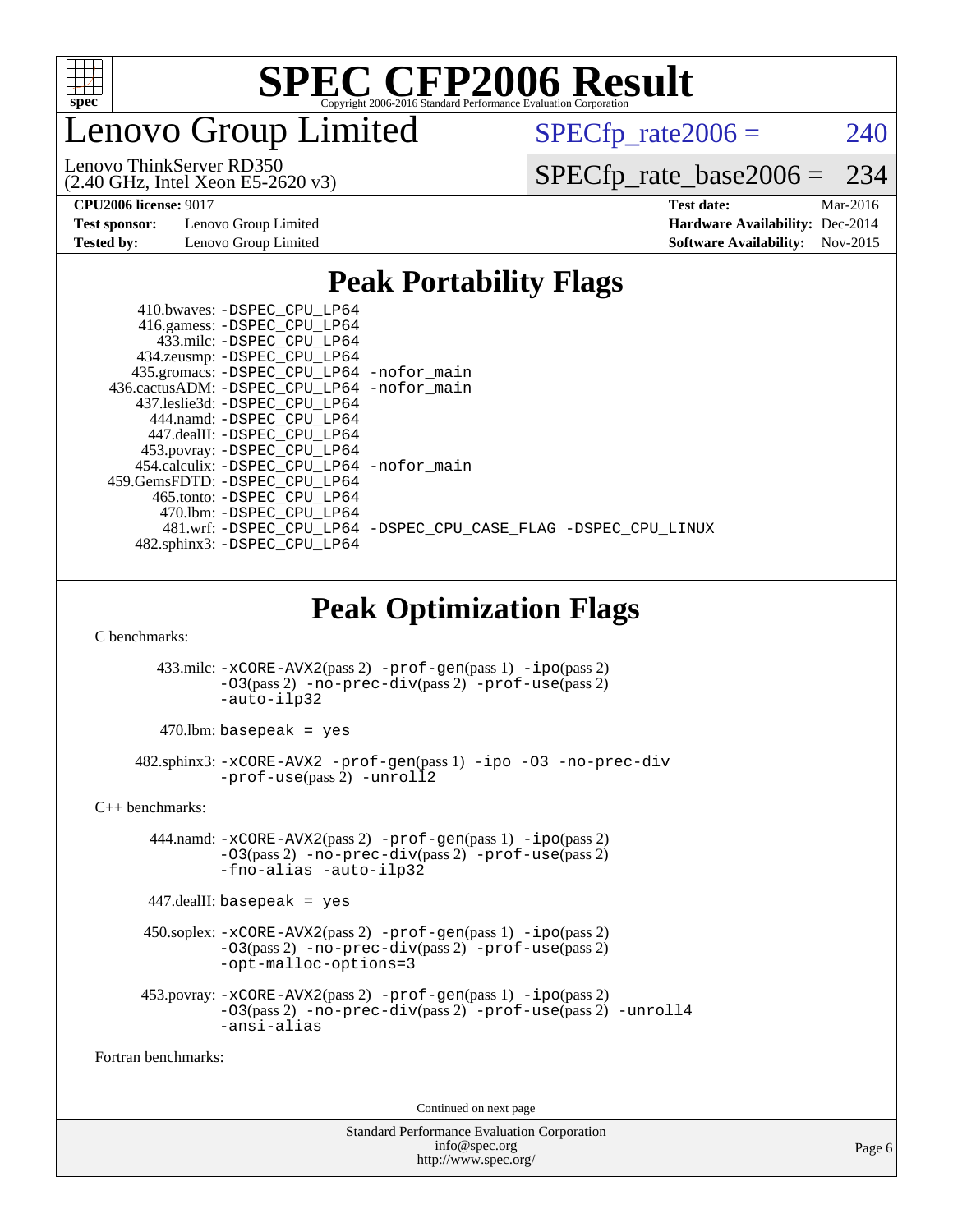

enovo Group Limited

 $SPECTp_rate2006 = 240$ 

(2.40 GHz, Intel Xeon E5-2620 v3) Lenovo ThinkServer RD350

[SPECfp\\_rate\\_base2006 =](http://www.spec.org/auto/cpu2006/Docs/result-fields.html#SPECfpratebase2006) 234

**[Test sponsor:](http://www.spec.org/auto/cpu2006/Docs/result-fields.html#Testsponsor)** Lenovo Group Limited **[Hardware Availability:](http://www.spec.org/auto/cpu2006/Docs/result-fields.html#HardwareAvailability)** Dec-2014

**[CPU2006 license:](http://www.spec.org/auto/cpu2006/Docs/result-fields.html#CPU2006license)** 9017 **[Test date:](http://www.spec.org/auto/cpu2006/Docs/result-fields.html#Testdate)** Mar-2016 **[Tested by:](http://www.spec.org/auto/cpu2006/Docs/result-fields.html#Testedby)** Lenovo Group Limited **[Software Availability:](http://www.spec.org/auto/cpu2006/Docs/result-fields.html#SoftwareAvailability)** Nov-2015

### **[Peak Portability Flags](http://www.spec.org/auto/cpu2006/Docs/result-fields.html#PeakPortabilityFlags)**

| 410.bwaves: -DSPEC CPU LP64                  |                                                                |
|----------------------------------------------|----------------------------------------------------------------|
| 416.gamess: -DSPEC_CPU_LP64                  |                                                                |
| 433.milc: -DSPEC CPU LP64                    |                                                                |
| 434.zeusmp: - DSPEC_CPU_LP64                 |                                                                |
| 435.gromacs: -DSPEC_CPU_LP64 -nofor_main     |                                                                |
| 436.cactusADM: - DSPEC CPU LP64 - nofor main |                                                                |
| 437.leslie3d: -DSPEC CPU LP64                |                                                                |
| 444.namd: -DSPEC CPU LP64                    |                                                                |
| 447.dealII: -DSPEC_CPU LP64                  |                                                                |
| 453.povray: -DSPEC_CPU_LP64                  |                                                                |
| 454.calculix: -DSPEC CPU LP64 -nofor main    |                                                                |
| 459.GemsFDTD: -DSPEC CPU LP64                |                                                                |
| 465.tonto: -DSPEC CPU LP64                   |                                                                |
| 470.1bm: - DSPEC CPU LP64                    |                                                                |
|                                              | 481.wrf: -DSPEC_CPU_LP64 -DSPEC_CPU_CASE_FLAG -DSPEC_CPU_LINUX |
| 482.sphinx3: -DSPEC CPU LP64                 |                                                                |

## **[Peak Optimization Flags](http://www.spec.org/auto/cpu2006/Docs/result-fields.html#PeakOptimizationFlags)**

[C benchmarks](http://www.spec.org/auto/cpu2006/Docs/result-fields.html#Cbenchmarks):

 433.milc: [-xCORE-AVX2](http://www.spec.org/cpu2006/results/res2016q1/cpu2006-20160307-39065.flags.html#user_peakPASS2_CFLAGSPASS2_LDFLAGS433_milc_f-xAVX2_5f5fc0cbe2c9f62c816d3e45806c70d7)(pass 2) [-prof-gen](http://www.spec.org/cpu2006/results/res2016q1/cpu2006-20160307-39065.flags.html#user_peakPASS1_CFLAGSPASS1_LDFLAGS433_milc_prof_gen_e43856698f6ca7b7e442dfd80e94a8fc)(pass 1) [-ipo](http://www.spec.org/cpu2006/results/res2016q1/cpu2006-20160307-39065.flags.html#user_peakPASS2_CFLAGSPASS2_LDFLAGS433_milc_f-ipo)(pass 2) [-O3](http://www.spec.org/cpu2006/results/res2016q1/cpu2006-20160307-39065.flags.html#user_peakPASS2_CFLAGSPASS2_LDFLAGS433_milc_f-O3)(pass 2) [-no-prec-div](http://www.spec.org/cpu2006/results/res2016q1/cpu2006-20160307-39065.flags.html#user_peakPASS2_CFLAGSPASS2_LDFLAGS433_milc_f-no-prec-div)(pass 2) [-prof-use](http://www.spec.org/cpu2006/results/res2016q1/cpu2006-20160307-39065.flags.html#user_peakPASS2_CFLAGSPASS2_LDFLAGS433_milc_prof_use_bccf7792157ff70d64e32fe3e1250b55)(pass 2) [-auto-ilp32](http://www.spec.org/cpu2006/results/res2016q1/cpu2006-20160307-39065.flags.html#user_peakCOPTIMIZE433_milc_f-auto-ilp32)

 $470$ .lbm: basepeak = yes

```
 482.sphinx3: -xCORE-AVX2 -prof-gen(pass 1) -ipo -O3 -no-prec-div
        -prof-unroll2
```
[C++ benchmarks:](http://www.spec.org/auto/cpu2006/Docs/result-fields.html#CXXbenchmarks)

 444.namd: [-xCORE-AVX2](http://www.spec.org/cpu2006/results/res2016q1/cpu2006-20160307-39065.flags.html#user_peakPASS2_CXXFLAGSPASS2_LDFLAGS444_namd_f-xAVX2_5f5fc0cbe2c9f62c816d3e45806c70d7)(pass 2) [-prof-gen](http://www.spec.org/cpu2006/results/res2016q1/cpu2006-20160307-39065.flags.html#user_peakPASS1_CXXFLAGSPASS1_LDFLAGS444_namd_prof_gen_e43856698f6ca7b7e442dfd80e94a8fc)(pass 1) [-ipo](http://www.spec.org/cpu2006/results/res2016q1/cpu2006-20160307-39065.flags.html#user_peakPASS2_CXXFLAGSPASS2_LDFLAGS444_namd_f-ipo)(pass 2) [-O3](http://www.spec.org/cpu2006/results/res2016q1/cpu2006-20160307-39065.flags.html#user_peakPASS2_CXXFLAGSPASS2_LDFLAGS444_namd_f-O3)(pass 2) [-no-prec-div](http://www.spec.org/cpu2006/results/res2016q1/cpu2006-20160307-39065.flags.html#user_peakPASS2_CXXFLAGSPASS2_LDFLAGS444_namd_f-no-prec-div)(pass 2) [-prof-use](http://www.spec.org/cpu2006/results/res2016q1/cpu2006-20160307-39065.flags.html#user_peakPASS2_CXXFLAGSPASS2_LDFLAGS444_namd_prof_use_bccf7792157ff70d64e32fe3e1250b55)(pass 2) [-fno-alias](http://www.spec.org/cpu2006/results/res2016q1/cpu2006-20160307-39065.flags.html#user_peakCXXOPTIMIZE444_namd_f-no-alias_694e77f6c5a51e658e82ccff53a9e63a) [-auto-ilp32](http://www.spec.org/cpu2006/results/res2016q1/cpu2006-20160307-39065.flags.html#user_peakCXXOPTIMIZE444_namd_f-auto-ilp32)

447.dealII: basepeak = yes

 450.soplex: [-xCORE-AVX2](http://www.spec.org/cpu2006/results/res2016q1/cpu2006-20160307-39065.flags.html#user_peakPASS2_CXXFLAGSPASS2_LDFLAGS450_soplex_f-xAVX2_5f5fc0cbe2c9f62c816d3e45806c70d7)(pass 2) [-prof-gen](http://www.spec.org/cpu2006/results/res2016q1/cpu2006-20160307-39065.flags.html#user_peakPASS1_CXXFLAGSPASS1_LDFLAGS450_soplex_prof_gen_e43856698f6ca7b7e442dfd80e94a8fc)(pass 1) [-ipo](http://www.spec.org/cpu2006/results/res2016q1/cpu2006-20160307-39065.flags.html#user_peakPASS2_CXXFLAGSPASS2_LDFLAGS450_soplex_f-ipo)(pass 2) [-O3](http://www.spec.org/cpu2006/results/res2016q1/cpu2006-20160307-39065.flags.html#user_peakPASS2_CXXFLAGSPASS2_LDFLAGS450_soplex_f-O3)(pass 2) [-no-prec-div](http://www.spec.org/cpu2006/results/res2016q1/cpu2006-20160307-39065.flags.html#user_peakPASS2_CXXFLAGSPASS2_LDFLAGS450_soplex_f-no-prec-div)(pass 2) [-prof-use](http://www.spec.org/cpu2006/results/res2016q1/cpu2006-20160307-39065.flags.html#user_peakPASS2_CXXFLAGSPASS2_LDFLAGS450_soplex_prof_use_bccf7792157ff70d64e32fe3e1250b55)(pass 2) [-opt-malloc-options=3](http://www.spec.org/cpu2006/results/res2016q1/cpu2006-20160307-39065.flags.html#user_peakOPTIMIZE450_soplex_f-opt-malloc-options_13ab9b803cf986b4ee62f0a5998c2238)

```
 453.povray: -xCORE-AVX2(pass 2) -prof-gen(pass 1) -ipo(pass 2)
          -O3(pass 2) -no-prec-div(pass 2) -prof-use(pass 2) -unroll4
          -ansi-alias
```
[Fortran benchmarks](http://www.spec.org/auto/cpu2006/Docs/result-fields.html#Fortranbenchmarks):

Continued on next page